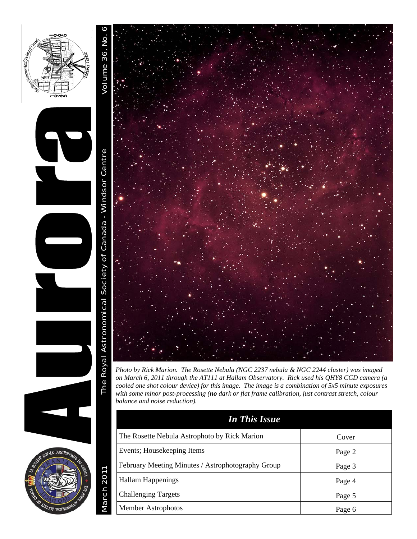



*Photo by Rick Marion. The Rosette Nebula (NGC 2237 nebula & NGC 2244 cluster) was imaged on March 6, 2011 through the AT111 at Hallam Observatory. Rick used his QHY8 CCD camera (a cooled one shot colour device) for this image. The image is a combination of 5x5 minute exposures with some minor post-processing (no dark or flat frame calibration, just contrast stretch, colour balance and noise reduction).* 

| <b>In This Issue</b>                              |        |
|---------------------------------------------------|--------|
| The Rosette Nebula Astrophoto by Rick Marion      | Cover  |
| Events; Housekeeping Items                        | Page 2 |
| February Meeting Minutes / Astrophotography Group | Page 3 |
| Hallam Happenings                                 | Page 4 |
| <b>Challenging Targets</b>                        | Page 5 |
| Member Astrophotos                                | Page 6 |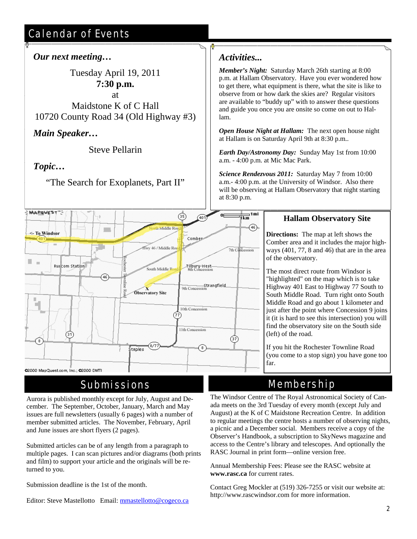# Calendar of Events

### *Our next meeting…*

Tuesday April 19, 2011 **7:30 p.m.** at Maidstone K of C Hall

10720 County Road 34 (Old Highway #3)

*Main Speaker…* 

Steve Pellarin

## *Topic…*

"The Search for Exoplanets, Part II"



#### @2000 MapQuest.com, Inc.; @2000 DMTI

## Submissions

Aurora is published monthly except for July, August and December. The September, October, January, March and May issues are full newsletters (usually 6 pages) with a number of member submitted articles. The November, February, April and June issues are short flyers (2 pages).

Submitted articles can be of any length from a paragraph to multiple pages. I can scan pictures and/or diagrams (both prints and film) to support your article and the originals will be returned to you.

Submission deadline is the 1st of the month.

Editor: Steve Mastellotto Email: mmastellotto@cogeco.ca

### *Activities...*

 $\overline{\phantom{0}}$ 

*Member's Night:* Saturday March 26th starting at 8:00 p.m. at Hallam Observatory. Have you ever wondered how to get there, what equipment is there, what the site is like to observe from or how dark the skies are? Regular visitors are available to "buddy up" with to answer these questions and guide you once you are onsite so come on out to Hallam.

*Open House Night at Hallam:* The next open house night at Hallam is on Saturday April 9th at 8:30 p.m..

*Earth Day/Astronomy Day:* Sunday May 1st from 10:00 a.m. - 4:00 p.m. at Mic Mac Park.

*Science Rendezvous 2011:* Saturday May 7 from 10:00 a.m.- 4:00 p.m. at the University of Windsor. Also there will be observing at Hallam Observatory that night starting at 8:30 p.m.

### **Hallam Observatory Site**

**Directions:** The map at left shows the Comber area and it includes the major highways (401, 77, 8 and 46) that are in the area of the observatory.

The most direct route from Windsor is "highlighted" on the map which is to take Highway 401 East to Highway 77 South to South Middle Road. Turn right onto South Middle Road and go about 1 kilometer and just after the point where Concession 9 joins it (it is hard to see this intersection) you will find the observatory site on the South side (left) of the road.

If you hit the Rochester Townline Road (you come to a stop sign) you have gone too far.

# Membership

The Windsor Centre of The Royal Astronomical Society of Canada meets on the 3rd Tuesday of every month (except July and August) at the K of C Maidstone Recreation Centre. In addition to regular meetings the centre hosts a number of observing nights, a picnic and a December social. Members receive a copy of the Observer's Handbook, a subscription to SkyNews magazine and access to the Centre's library and telescopes. And optionally the RASC Journal in print form—online version free.

Annual Membership Fees: Please see the RASC website at **www.rasc.ca** for current rates.

Contact Greg Mockler at (519) 326-7255 or visit our website at: http://www.rascwindsor.com for more information.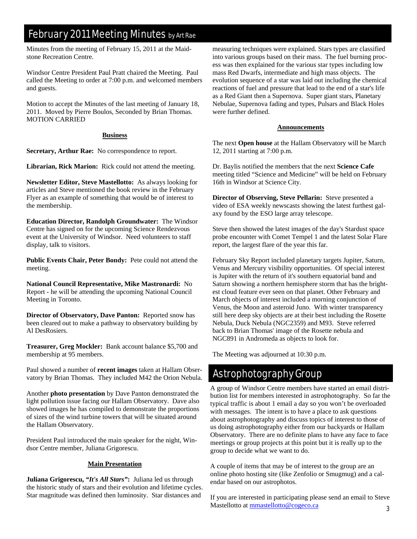## February 2011 Meeting Minutes by Art Rae

Minutes from the meeting of February 15, 2011 at the Maidstone Recreation Centre.

Windsor Centre President Paul Pratt chaired the Meeting. Paul called the Meeting to order at 7:00 p.m. and welcomed members and guests.

Motion to accept the Minutes of the last meeting of January 18, 2011. Moved by Pierre Boulos, Seconded by Brian Thomas. MOTION CARRIED

#### **Business**

**Secretary, Arthur Rae:** No correspondence to report.

**Librarian, Rick Marion:** Rick could not attend the meeting.

**Newsletter Editor, Steve Mastellotto:** As always looking for articles and Steve mentioned the book review in the February Flyer as an example of something that would be of interest to the membership.

**Education Director, Randolph Groundwater:** The Windsor Centre has signed on for the upcoming Science Rendezvous event at the University of Windsor. Need volunteers to staff display, talk to visitors.

**Public Events Chair, Peter Bondy:** Pete could not attend the meeting.

**National Council Representative, Mike Mastronardi:** No Report - he will be attending the upcoming National Council Meeting in Toronto.

**Director of Observatory, Dave Panton:** Reported snow has been cleared out to make a pathway to observatory building by Al DesRosiers.

**Treasurer, Greg Mockler:** Bank account balance \$5,700 and membership at 95 members.

Paul showed a number of **recent images** taken at Hallam Observatory by Brian Thomas. They included M42 the Orion Nebula.

Another **photo presentation** by Dave Panton demonstrated the light pollution issue facing our Hallam Observatory. Dave also showed images he has compiled to demonstrate the proportions of sizes of the wind turbine towers that will be situated around the Hallam Observatory.

President Paul introduced the main speaker for the night, Windsor Centre member, Juliana Grigorescu.

### **Main Presentation**

**Juliana Grigorescu,** *"It's All Stars"***:** Juliana led us through the historic study of stars and their evolution and lifetime cycles. Star magnitude was defined then luminosity. Star distances and

measuring techniques were explained. Stars types are classified into various groups based on their mass. The fuel burning process was then explained for the various star types including low mass Red Dwarfs, intermediate and high mass objects. The evolution sequence of a star was laid out including the chemical reactions of fuel and pressure that lead to the end of a star's life as a Red Giant then a Supernova. Super giant stars, Planetary Nebulae, Supernova fading and types, Pulsars and Black Holes were further defined.

#### **Announcements**

The next **Open house** at the Hallam Observatory will be March 12, 2011 starting at 7:00 p.m.

Dr. Baylis notified the members that the next **Science Cafe**  meeting titled "Science and Medicine" will be held on February 16th in Windsor at Science City.

**Director of Observing, Steve Pellarin:** Steve presented a video of ESA weekly newscasts showing the latest furthest galaxy found by the ESO large array telescope.

Steve then showed the latest images of the day's Stardust space probe encounter with Comet Tempel 1 and the latest Solar Flare report, the largest flare of the year this far.

February Sky Report included planetary targets Jupiter, Saturn, Venus and Mercury visibility opportunities. Of special interest is Jupiter with the return of it's southern equatorial band and Saturn showing a northern hemisphere storm that has the brightest cloud feature ever seen on that planet. Other February and March objects of interest included a morning conjunction of Venus, the Moon and asteroid Juno. With winter transparency still here deep sky objects are at their best including the Rosette Nebula, Duck Nebula (NGC2359) and M93. Steve referred back to Brian Thomas' image of the Rosette nebula and NGC891 in Andromeda as objects to look for.

The Meeting was adjourned at 10:30 p.m.

## Astrophotography Group

A group of Windsor Centre members have started an email distribution list for members interested in astrophotography. So far the typical traffic is about 1 email a day so you won't be overloaded with messages. The intent is to have a place to ask questions about astrophotography and discuss topics of interest to those of us doing astrophotography either from our backyards or Hallam Observatory. There are no definite plans to have any face to face meetings or group projects at this point but it is really up to the group to decide what we want to do.

A couple of items that may be of interest to the group are an online photo hosting site (like Zenfolio or Smugmug) and a calendar based on our astrophotos.

If you are interested in participating please send an email to Steve Mastellotto at mmastellotto@cogeco.ca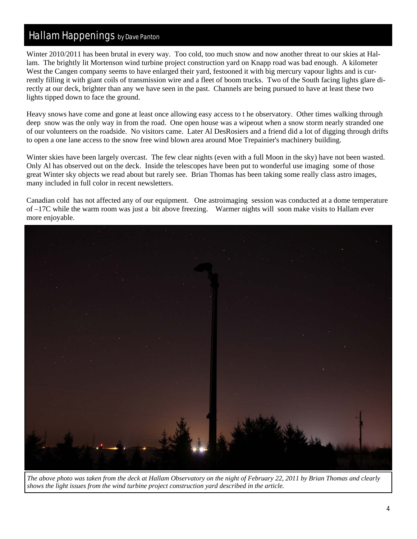## Hallam Happenings by Dave Panton

Winter 2010/2011 has been brutal in every way. Too cold, too much snow and now another threat to our skies at Hallam. The brightly lit Mortenson wind turbine project construction yard on Knapp road was bad enough. A kilometer West the Cangen company seems to have enlarged their yard, festooned it with big mercury vapour lights and is currently filling it with giant coils of transmission wire and a fleet of boom trucks. Two of the South facing lights glare directly at our deck, brighter than any we have seen in the past. Channels are being pursued to have at least these two lights tipped down to face the ground.

Heavy snows have come and gone at least once allowing easy access to t he observatory. Other times walking through deep snow was the only way in from the road. One open house was a wipeout when a snow storm nearly stranded one of our volunteers on the roadside. No visitors came. Later Al DesRosiers and a friend did a lot of digging through drifts to open a one lane access to the snow free wind blown area around Moe Trepainier's machinery building.

Winter skies have been largely overcast. The few clear nights (even with a full Moon in the sky) have not been wasted. Only Al has observed out on the deck. Inside the telescopes have been put to wonderful use imaging some of those great Winter sky objects we read about but rarely see. Brian Thomas has been taking some really class astro images, many included in full color in recent newsletters.

Canadian cold has not affected any of our equipment. One astroimaging session was conducted at a dome temperature of –17C while the warm room was just a bit above freezing. Warmer nights will soon make visits to Hallam ever more enjoyable.



*The above photo was taken from the deck at Hallam Observatory on the night of February 22, 2011 by Brian Thomas and clearly shows the light issues from the wind turbine project construction yard described in the article.*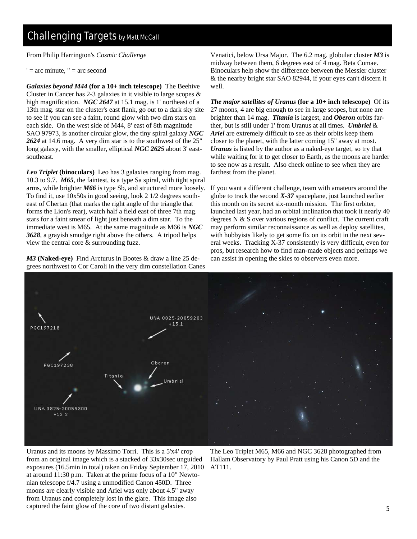From Philip Harrington's *Cosmic Challenge* 

 $'$  = arc minute,  $''$  = arc second

*Galaxies beyond M44* **(for a 10+ inch telescope)** The Beehive Cluster in Cancer has 2-3 galaxies in it visible to large scopes  $\&$ high magnification. *NGC 2647* at 15.1 mag. is 1' northeast of a 13th mag. star on the cluster's east flank, go out to a dark sky site to see if you can see a faint, round glow with two dim stars on each side. On the west side of M44, 8' east of 8th magnitude SAO 97973, is another circular glow, the tiny spiral galaxy *NGC 2624* at 14.6 mag. A very dim star is to the southwest of the 25" long galaxy, with the smaller, elliptical *NGC 2625* about 3' eastsoutheast.

*Leo Triplet* **(binoculars)** Leo has 3 galaxies ranging from mag. 10.3 to 9.7. *M65*, the faintest, is a type Sa spiral, with tight spiral arms, while brighter *M66* is type Sb, and structured more loosely. To find it, use 10x50s in good seeing, look 2 1/2 degrees southeast of Chertan (that marks the right angle of the triangle that forms the Lion's rear), watch half a field east of three 7th mag. stars for a faint smear of light just beneath a dim star. To the immediate west is M65. At the same magnitude as M66 is *NGC 3628*, a grayish smudge right above the others. A tripod helps view the central core & surrounding fuzz.

*M3* **(Naked-eye)** Find Arcturus in Bootes & draw a line 25 degrees northwest to Cor Caroli in the very dim constellation Canes

Venatici, below Ursa Major. The 6.2 mag. globular cluster *M3* is midway between them, 6 degrees east of 4 mag. Beta Comae. Binoculars help show the difference between the Messier cluster & the nearby bright star SAO 82944, if your eyes can't discern it well.

*The major satellites of Uranus* **(for a 10+ inch telescope)** Of its 27 moons, 4 are big enough to see in large scopes, but none are brighter than 14 mag. *Titania* is largest, and *Oberon* orbits farther, but is still under 1' from Uranus at all times. *Umbriel* & *Ariel* are extremely difficult to see as their orbits keep them closer to the planet, with the latter coming 15" away at most. *Uranus* is listed by the author as a naked-eye target, so try that while waiting for it to get closer to Earth, as the moons are harder to see now as a result. Also check online to see when they are farthest from the planet.

If you want a different challenge, team with amateurs around the globe to track the second *X-37* spaceplane, just launched earlier this month on its secret six-month mission. The first orbiter, launched last year, had an orbital inclination that took it nearly 40 degrees N & S over various regions of conflict. The current craft may perform similar reconnaissance as well as deploy satellites, with hobbyists likely to get some fix on its orbit in the next several weeks. Tracking X-37 consistently is very difficult, even for pros, but research how to find man-made objects and perhaps we can assist in opening the skies to observers even more.



Uranus and its moons by Massimo Torri. This is a 5'x4' crop from an original image which is a stacked of 33x30sec unguided exposures (16.5min in total) taken on Friday September 17, 2010 at around 11:30 p.m. Taken at the prime focus of a 10" Newtonian telescope f/4.7 using a unmodified Canon 450D. Three moons are clearly visible and Ariel was only about 4.5" away from Uranus and completely lost in the glare. This image also captured the faint glow of the core of two distant galaxies.

The Leo Triplet M65, M66 and NGC 3628 photographed from Hallam Observatory by Paul Pratt using his Canon 5D and the AT111.